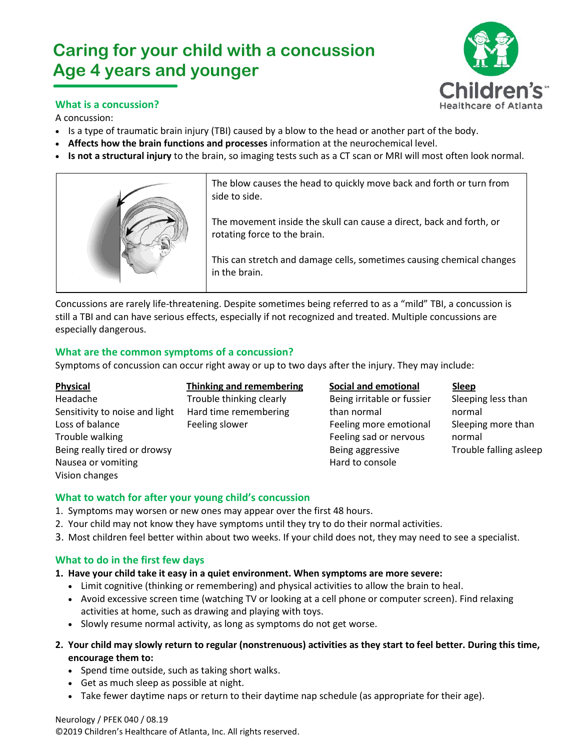# **Caring for your child with a concussion Age 4 years and younger**



## **What is a concussion?**

A concussion:

- Is a type of traumatic brain injury (TBI) caused by a blow to the head or another part of the body.
- **Affects how the brain functions and processes** information at the neurochemical level.
- **Is not a structural injury** to the brain, so imaging tests such as a CT scan or MRI will most often look normal.



Concussions are rarely life-threatening. Despite sometimes being referred to as a "mild" TBI, a concussion is still a TBI and can have serious effects, especially if not recognized and treated. Multiple concussions are especially dangerous.

### **What are the common symptoms of a concussion?**

Symptoms of concussion can occur right away or up to two days after the injury. They may include:

| Physical                       | Thinking and remembering | Social and emotional       | <b>Sleep</b>           |
|--------------------------------|--------------------------|----------------------------|------------------------|
| Headache                       | Trouble thinking clearly | Being irritable or fussier | Sleeping less than     |
| Sensitivity to noise and light | Hard time remembering    | than normal                | normal                 |
| Loss of balance                | Feeling slower           | Feeling more emotional     | Sleeping more than     |
| Trouble walking                |                          | Feeling sad or nervous     | normal                 |
| Being really tired or drowsy   |                          | Being aggressive           | Trouble falling asleep |
| Nausea or vomiting             |                          | Hard to console            |                        |
| Vision changes                 |                          |                            |                        |

### **What to watch for after your young child's concussion**

- 1. Symptoms may worsen or new ones may appear over the first 48 hours.
- 2. Your child may not know they have symptoms until they try to do their normal activities.
- 3. Most children feel better within about two weeks. If your child does not, they may need to see a specialist.

### **What to do in the first few days**

- **1. Have your child take it easy in a quiet environment. When symptoms are more severe:**
	- Limit cognitive (thinking or remembering) and physical activities to allow the brain to heal.
	- Avoid excessive screen time (watching TV or looking at a cell phone or computer screen). Find relaxing activities at home, such as drawing and playing with toys.
	- Slowly resume normal activity, as long as symptoms do not get worse.
- **2. Your child may slowly return to regular (nonstrenuous) activities as they start to feel better. During this time, encourage them to:**
	- Spend time outside, such as taking short walks.
	- Get as much sleep as possible at night.
	- Take fewer daytime naps or return to their daytime nap schedule (as appropriate for their age).